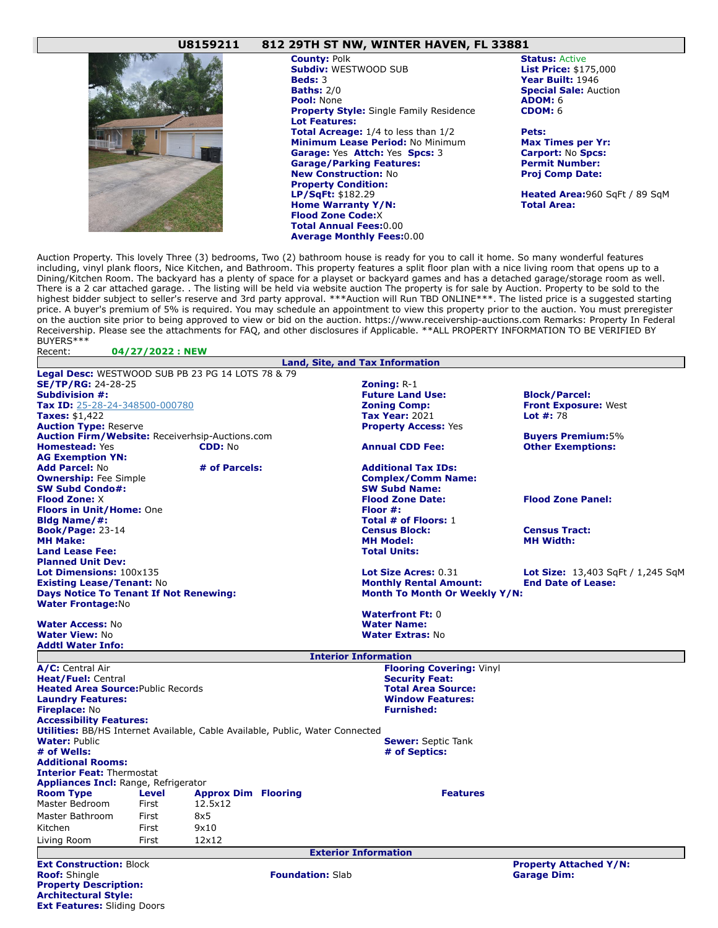## **U8159211 812 29TH ST NW, WINTER HAVEN, FL 33881**



Auction Property. This lovely Three (3) bedrooms, Two (2) bathroom house is ready for you to call it home. So many wonderful features including, vinyl plank floors, Nice Kitchen, and Bathroom. This property features a split floor plan with a nice living room that opens up to a Dining/Kitchen Room. The backyard has a plenty of space for a playset or backyard games and has a detached garage/storage room as well. There is a 2 car attached garage. . The listing will be held via website auction The property is for sale by Auction. Property to be sold to the highest bidder subject to seller's reserve and 3rd party approval. \*\*\*Auction will Run TBD ONLINE\*\*\*. The listed price is a suggested starting price. A buyer's premium of 5% is required. You may schedule an appointment to view this property prior to the auction. You must preregister on the auction site prior to being approved to view or bid on the auction. https://www.receivership-auctions.com Remarks: Property In Federal Receivership. Please see the attachments for FAQ, and other disclosures if Applicable. \*\*ALL PROPERTY INFORMATION TO BE VERIFIED BY BUYERS\*\*\* Recent: **04/27/2022 : NEW**

|                                                                                      |              |                            |                         | <b>Land, Site, and Tax Information</b> |                                   |  |
|--------------------------------------------------------------------------------------|--------------|----------------------------|-------------------------|----------------------------------------|-----------------------------------|--|
| <b>Legal Desc:</b> WESTWOOD SUB PB 23 PG 14 LOTS 78 & 79                             |              |                            |                         |                                        |                                   |  |
| <b>SE/TP/RG: 24-28-25</b>                                                            |              |                            |                         | <b>Zoning: <math>R-1</math></b>        |                                   |  |
| <b>Subdivision #:</b>                                                                |              |                            |                         | <b>Future Land Use:</b>                | <b>Block/Parcel:</b>              |  |
| Tax ID: 25-28-24-348500-000780                                                       |              |                            |                         | <b>Zoning Comp:</b>                    | <b>Front Exposure: West</b>       |  |
| <b>Taxes: \$1,422</b>                                                                |              |                            |                         | <b>Tax Year: 2021</b>                  | Lot $#: 78$                       |  |
| <b>Auction Type: Reserve</b>                                                         |              |                            |                         | <b>Property Access: Yes</b>            |                                   |  |
| Auction Firm/Website: Receiverhsip-Auctions.com                                      |              |                            |                         |                                        | <b>Buyers Premium: 5%</b>         |  |
| <b>Homestead: Yes</b>                                                                |              | CDD: No                    |                         | <b>Annual CDD Fee:</b>                 | <b>Other Exemptions:</b>          |  |
| <b>AG Exemption YN:</b>                                                              |              |                            |                         |                                        |                                   |  |
| <b>Add Parcel: No</b>                                                                |              | # of Parcels:              |                         | <b>Additional Tax IDs:</b>             |                                   |  |
| <b>Ownership:</b> Fee Simple                                                         |              |                            |                         | <b>Complex/Comm Name:</b>              |                                   |  |
| <b>SW Subd Condo#:</b>                                                               |              |                            |                         | <b>SW Subd Name:</b>                   |                                   |  |
| <b>Flood Zone: X</b>                                                                 |              |                            |                         | <b>Flood Zone Date:</b>                | <b>Flood Zone Panel:</b>          |  |
| <b>Floors in Unit/Home: One</b>                                                      |              |                            |                         | Floor #:                               |                                   |  |
| <b>Bldg Name/#:</b>                                                                  |              |                            |                         | Total # of Floors: 1                   |                                   |  |
| <b>Book/Page: 23-14</b>                                                              |              |                            |                         | <b>Census Block:</b>                   | <b>Census Tract:</b>              |  |
| <b>MH Make:</b>                                                                      |              |                            |                         | <b>MH Model:</b>                       | <b>MH Width:</b>                  |  |
| <b>Land Lease Fee:</b>                                                               |              |                            |                         | <b>Total Units:</b>                    |                                   |  |
| <b>Planned Unit Dev:</b>                                                             |              |                            |                         |                                        |                                   |  |
| Lot Dimensions: 100x135                                                              |              |                            |                         | Lot Size Acres: 0.31                   | Lot Size: 13,403 SqFt / 1,245 SqM |  |
| <b>Existing Lease/Tenant: No</b>                                                     |              |                            |                         | <b>Monthly Rental Amount:</b>          | <b>End Date of Lease:</b>         |  |
| <b>Days Notice To Tenant If Not Renewing:</b>                                        |              |                            |                         | Month To Month Or Weekly Y/N:          |                                   |  |
| <b>Water Frontage:No</b>                                                             |              |                            |                         |                                        |                                   |  |
|                                                                                      |              |                            |                         | <b>Waterfront Ft: 0</b>                |                                   |  |
| <b>Water Access: No</b>                                                              |              |                            |                         | <b>Water Name:</b>                     |                                   |  |
| <b>Water View: No</b>                                                                |              |                            |                         | <b>Water Extras: No</b>                |                                   |  |
| Addtl Water Info:                                                                    |              |                            |                         |                                        |                                   |  |
|                                                                                      |              |                            |                         | <b>Interior Information</b>            |                                   |  |
| A/C: Central Air                                                                     |              |                            |                         | <b>Flooring Covering: Vinyl</b>        |                                   |  |
| <b>Heat/Fuel: Central</b>                                                            |              |                            |                         | <b>Security Feat:</b>                  |                                   |  |
| <b>Heated Area Source: Public Records</b>                                            |              |                            |                         | <b>Total Area Source:</b>              |                                   |  |
| <b>Laundry Features:</b>                                                             |              |                            |                         | <b>Window Features:</b>                |                                   |  |
| <b>Fireplace: No</b>                                                                 |              |                            |                         | <b>Furnished:</b>                      |                                   |  |
| <b>Accessibility Features:</b>                                                       |              |                            |                         |                                        |                                   |  |
| <b>Utilities:</b> BB/HS Internet Available, Cable Available, Public, Water Connected |              |                            |                         |                                        |                                   |  |
| <b>Water: Public</b>                                                                 |              |                            |                         | <b>Sewer:</b> Septic Tank              |                                   |  |
| # of Wells:                                                                          |              |                            |                         | # of Septics:                          |                                   |  |
| <b>Additional Rooms:</b>                                                             |              |                            |                         |                                        |                                   |  |
| <b>Interior Feat: Thermostat</b>                                                     |              |                            |                         |                                        |                                   |  |
| <b>Appliances Incl:</b> Range, Refrigerator                                          |              |                            |                         |                                        |                                   |  |
| <b>Room Type</b>                                                                     | <b>Level</b> | <b>Approx Dim Flooring</b> |                         | <b>Features</b>                        |                                   |  |
| Master Bedroom                                                                       | First        | 12.5x12                    |                         |                                        |                                   |  |
| Master Bathroom                                                                      | First        | 8x5                        |                         |                                        |                                   |  |
| Kitchen                                                                              | First        | 9x10                       |                         |                                        |                                   |  |
|                                                                                      |              | 12x12                      |                         |                                        |                                   |  |
| Living Room                                                                          | First        |                            |                         |                                        |                                   |  |
|                                                                                      |              |                            |                         | <b>Exterior Information</b>            |                                   |  |
| <b>Ext Construction: Block</b>                                                       |              |                            |                         |                                        | <b>Property Attached Y/N:</b>     |  |
| <b>Roof:</b> Shingle                                                                 |              |                            | <b>Foundation: Slab</b> |                                        | <b>Garage Dim:</b>                |  |
| <b>Property Description:</b>                                                         |              |                            |                         |                                        |                                   |  |
| <b>Architectural Style:</b>                                                          |              |                            |                         |                                        |                                   |  |

**Ext Features:** Sliding Doors